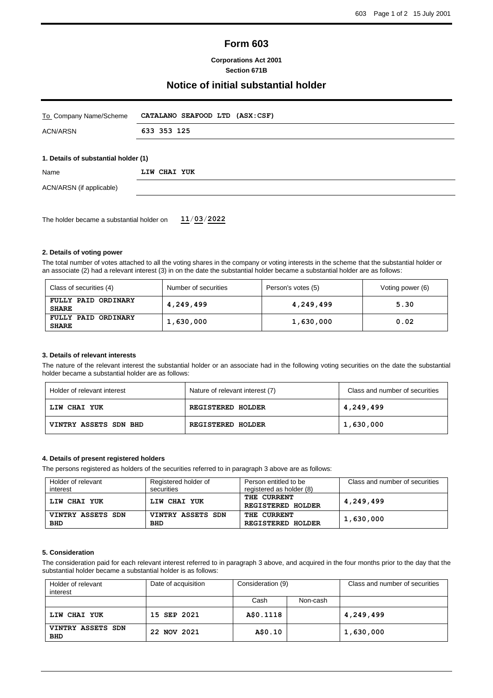# **Form 603**

## **Corporations Act 2001 Section 671B**

# **Notice of initial substantial holder**

| To Company Name/Scheme                    | CATALANO SEAFOOD LTD (ASX:CSF) |  |  |
|-------------------------------------------|--------------------------------|--|--|
| <b>ACN/ARSN</b>                           | 633 353 125                    |  |  |
|                                           |                                |  |  |
| 1. Details of substantial holder (1)      |                                |  |  |
| Name                                      | LIW CHAI YUK                   |  |  |
| ACN/ARSN (if applicable)                  |                                |  |  |
|                                           |                                |  |  |
| The holder became a substantial holder on | 11/03/2022                     |  |  |

### **2. Details of voting power**

The total number of votes attached to all the voting shares in the company or voting interests in the scheme that the substantial holder or an associate (2) had a relevant interest (3) in on the date the substantial holder became a substantial holder are as follows:

| Class of securities (4)             | Number of securities | Person's votes (5) | Voting power (6) |
|-------------------------------------|----------------------|--------------------|------------------|
| FULLY PAID ORDINARY<br><b>SHARE</b> | 4,249,499            | 4,249,499          | 5.30             |
| FULLY PAID ORDINARY<br><b>SHARE</b> | 1,630,000            | 1,630,000          | 0.02             |

#### **3. Details of relevant interests**

The nature of the relevant interest the substantial holder or an associate had in the following voting securities on the date the substantial holder became a substantial holder are as follows:

| Holder of relevant interest | Nature of relevant interest (7) | Class and number of securities |
|-----------------------------|---------------------------------|--------------------------------|
| LIW CHAI YUK                | <b>REGISTERED HOLDER</b>        | 4,249,499                      |
| VINTRY ASSETS SDN BHD       | <b>REGISTERED HOLDER</b>        | 1,630,000                      |

## **4. Details of present registered holders**

The persons registered as holders of the securities referred to in paragraph 3 above are as follows:

| Holder of relevant | Registered holder of | Person entitled to be                          | Class and number of securities |
|--------------------|----------------------|------------------------------------------------|--------------------------------|
| interest           | securities           | registered as holder (8)                       |                                |
| LIW CHAI YUK       | LIW CHAI YUK         | <b>THE CURRENT</b><br><b>REGISTERED HOLDER</b> | 4,249,499                      |
| VINTRY ASSETS SDN  | VINTRY ASSETS SDN    | <b>THE CURRENT</b>                             | 1,630,000                      |
| <b>BHD</b>         | <b>BHD</b>           | <b>REGISTERED HOLDER</b>                       |                                |

### **5. Consideration**

The consideration paid for each relevant interest referred to in paragraph 3 above, and acquired in the four months prior to the day that the substantial holder became a substantial holder is as follows:

| Holder of relevant<br>interest  | Date of acquisition | Consideration (9) |          | Class and number of securities |
|---------------------------------|---------------------|-------------------|----------|--------------------------------|
|                                 |                     | Cash              | Non-cash |                                |
| LIW CHAI YUK                    | 15 SEP 2021         | A\$0.1118         |          | 4,249,499                      |
| VINTRY ASSETS SDN<br><b>BHD</b> | 22 NOV 2021         | A\$0.10           |          | 1,630,000                      |